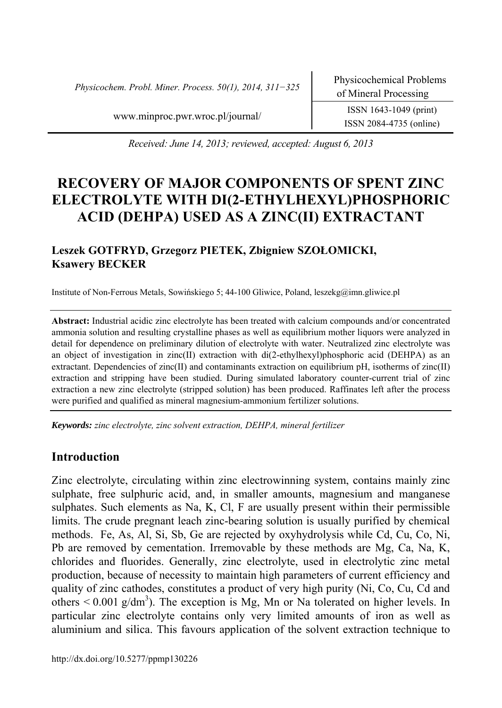*Physicochem. Probl. Miner. Process. 50(1), 2014, 311−325* Physicochemical Problems

ISSN 2084-4735 (online)

www.minproc.pwr.wroc.pl/journal/ ISSN 1643-1049 (print)

*Received: June 14, 2013; reviewed, accepted: August 6, 2013* 

# **RECOVERY OF MAJOR COMPONENTS OF SPENT ZINC ELECTROLYTE WITH DI(2-ETHYLHEXYL)PHOSPHORIC ACID (DEHPA) USED AS A ZINC(II) EXTRACTANT**

# **Leszek GOTFRYD, Grzegorz PIETEK, Zbigniew SZOŁOMICKI, Ksawery BECKER**

Institute of Non-Ferrous Metals, Sowińskiego 5; 44-100 Gliwice, Poland, leszekg@imn.gliwice.pl

**Abstract:** Industrial acidic zinc electrolyte has been treated with calcium compounds and/or concentrated ammonia solution and resulting crystalline phases as well as equilibrium mother liquors were analyzed in detail for dependence on preliminary dilution of electrolyte with water. Neutralized zinc electrolyte was an object of investigation in zinc(II) extraction with di(2-ethylhexyl)phosphoric acid (DEHPA) as an extractant. Dependencies of zinc(II) and contaminants extraction on equilibrium pH, isotherms of zinc(II) extraction and stripping have been studied. During simulated laboratory counter-current trial of zinc extraction a new zinc electrolyte (stripped solution) has been produced. Raffinates left after the process were purified and qualified as mineral magnesium-ammonium fertilizer solutions.

*Keywords: zinc electrolyte, zinc solvent extraction, DEHPA, mineral fertilizer* 

# **Introduction**

Zinc electrolyte, circulating within zinc electrowinning system, contains mainly zinc sulphate, free sulphuric acid, and, in smaller amounts, magnesium and manganese sulphates. Such elements as Na, K, Cl, F are usually present within their permissible limits. The crude pregnant leach zinc-bearing solution is usually purified by chemical methods. Fe, As, Al, Si, Sb, Ge are rejected by oxyhydrolysis while Cd, Cu, Co, Ni, Pb are removed by cementation. Irremovable by these methods are Mg, Ca, Na, K, chlorides and fluorides. Generally, zinc electrolyte, used in electrolytic zinc metal production, because of necessity to maintain high parameters of current efficiency and quality of zinc cathodes, constitutes a product of very high purity (Ni, Co, Cu, Cd and others  $< 0.001$  g/dm<sup>3</sup>). The exception is Mg, Mn or Na tolerated on higher levels. In particular zinc electrolyte contains only very limited amounts of iron as well as aluminium and silica. This favours application of the solvent extraction technique to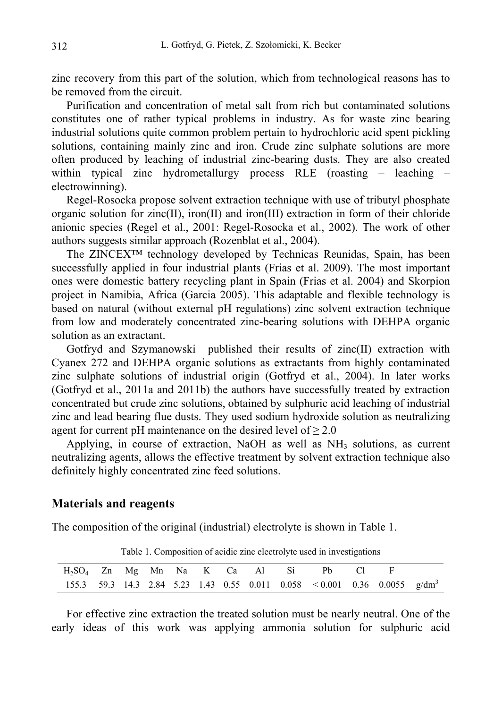zinc recovery from this part of the solution, which from technological reasons has to be removed from the circuit.

Purification and concentration of metal salt from rich but contaminated solutions constitutes one of rather typical problems in industry. As for waste zinc bearing industrial solutions quite common problem pertain to hydrochloric acid spent pickling solutions, containing mainly zinc and iron. Crude zinc sulphate solutions are more often produced by leaching of industrial zinc-bearing dusts. They are also created within typical zinc hydrometallurgy process RLE (roasting – leaching – electrowinning).

Regel-Rosocka propose solvent extraction technique with use of tributyl phosphate organic solution for zinc(II), iron(II) and iron(III) extraction in form of their chloride anionic species (Regel et al., 2001: Regel-Rosocka et al., 2002). The work of other authors suggests similar approach (Rozenblat et al., 2004).

The ZINCEX™ technology developed by Technicas Reunidas, Spain, has been successfully applied in four industrial plants (Frias et al. 2009). The most important ones were domestic battery recycling plant in Spain (Frias et al. 2004) and Skorpion project in Namibia, Africa (Garcia 2005). This adaptable and flexible technology is based on natural (without external pH regulations) zinc solvent extraction technique from low and moderately concentrated zinc-bearing solutions with DEHPA organic solution as an extractant.

Gotfryd and Szymanowski published their results of zinc(II) extraction with Cyanex 272 and DEHPA organic solutions as extractants from highly contaminated zinc sulphate solutions of industrial origin (Gotfryd et al., 2004). In later works (Gotfryd et al., 2011a and 2011b) the authors have successfully treated by extraction concentrated but crude zinc solutions, obtained by sulphuric acid leaching of industrial zinc and lead bearing flue dusts. They used sodium hydroxide solution as neutralizing agent for current pH maintenance on the desired level of  $\geq 2.0$ 

Applying, in course of extraction, NaOH as well as  $NH<sub>3</sub>$  solutions, as current neutralizing agents, allows the effective treatment by solvent extraction technique also definitely highly concentrated zinc feed solutions.

#### **Materials and reagents**

The composition of the original (industrial) electrolyte is shown in Table 1.

|  |  |  |  | $H_2SO_4$ Zn Mg Mn Na K Ca Al Si Pb Cl F                                    |  |  |
|--|--|--|--|-----------------------------------------------------------------------------|--|--|
|  |  |  |  | 155.3 59.3 14.3 2.84 5.23 1.43 0.55 0.011 0.058 < 0.001 0.36 0.0055 $g/dm3$ |  |  |

Table 1. Composition of acidic zinc electrolyte used in investigations

For effective zinc extraction the treated solution must be nearly neutral. One of the early ideas of this work was applying ammonia solution for sulphuric acid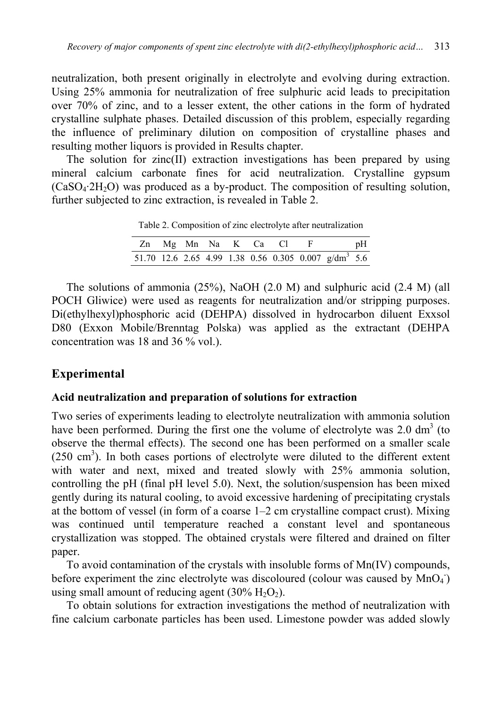neutralization, both present originally in electrolyte and evolving during extraction. Using 25% ammonia for neutralization of free sulphuric acid leads to precipitation over 70% of zinc, and to a lesser extent, the other cations in the form of hydrated crystalline sulphate phases. Detailed discussion of this problem, especially regarding the influence of preliminary dilution on composition of crystalline phases and resulting mother liquors is provided in Results chapter.

The solution for zinc(II) extraction investigations has been prepared by using mineral calcium carbonate fines for acid neutralization. Crystalline gypsum  $(CaSO<sub>4</sub>:2H<sub>2</sub>O)$  was produced as a by-product. The composition of resulting solution, further subjected to zinc extraction, is revealed in Table 2.

Table 2. Composition of zinc electrolyte after neutralization

| Zn Mg Mn Na K Ca Cl F |  |  |  |                                                                  | pH |
|-----------------------|--|--|--|------------------------------------------------------------------|----|
|                       |  |  |  | 51.70 12.6 2.65 4.99 1.38 0.56 0.305 0.007 g/dm <sup>3</sup> 5.6 |    |

The solutions of ammonia (25%), NaOH (2.0 M) and sulphuric acid (2.4 M) (all POCH Gliwice) were used as reagents for neutralization and/or stripping purposes. Di(ethylhexyl)phosphoric acid (DEHPA) dissolved in hydrocarbon diluent Exxsol D80 (Exxon Mobile/Brenntag Polska) was applied as the extractant (DEHPA concentration was 18 and 36 % vol.).

# **Experimental**

#### **Acid neutralization and preparation of solutions for extraction**

Two series of experiments leading to electrolyte neutralization with ammonia solution have been performed. During the first one the volume of electrolyte was  $2.0 \text{ dm}^3$  (to observe the thermal effects). The second one has been performed on a smaller scale  $(250 \text{ cm}^3)$ . In both cases portions of electrolyte were diluted to the different extent with water and next, mixed and treated slowly with 25% ammonia solution, controlling the pH (final pH level 5.0). Next, the solution/suspension has been mixed gently during its natural cooling, to avoid excessive hardening of precipitating crystals at the bottom of vessel (in form of a coarse 1–2 cm crystalline compact crust). Mixing was continued until temperature reached a constant level and spontaneous crystallization was stopped. The obtained crystals were filtered and drained on filter paper.

To avoid contamination of the crystals with insoluble forms of Mn(IV) compounds, before experiment the zinc electrolyte was discoloured (colour was caused by  $MnO<sub>4</sub>$ ) using small amount of reducing agent  $(30\% \text{ H}_2\text{O}_2)$ .

To obtain solutions for extraction investigations the method of neutralization with fine calcium carbonate particles has been used. Limestone powder was added slowly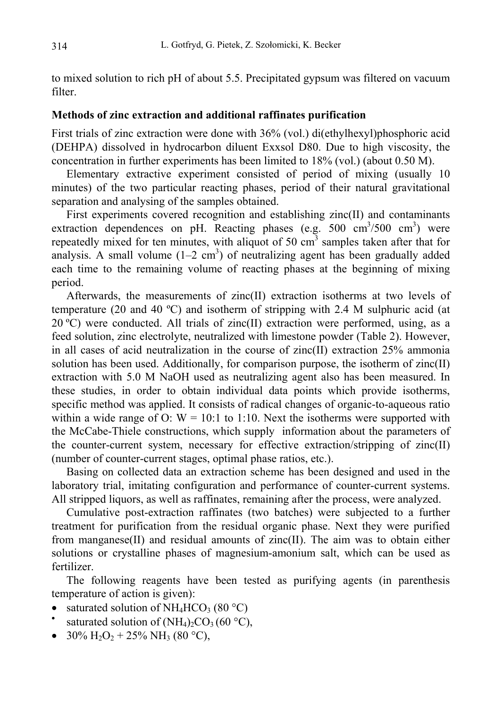to mixed solution to rich pH of about 5.5. Precipitated gypsum was filtered on vacuum filter.

### **Methods of zinc extraction and additional raffinates purification**

First trials of zinc extraction were done with 36% (vol.) di(ethylhexyl)phosphoric acid (DEHPA) dissolved in hydrocarbon diluent Exxsol D80. Due to high viscosity, the concentration in further experiments has been limited to 18% (vol.) (about 0.50 M).

Elementary extractive experiment consisted of period of mixing (usually 10 minutes) of the two particular reacting phases, period of their natural gravitational separation and analysing of the samples obtained.

First experiments covered recognition and establishing zinc(II) and contaminants extraction dependences on pH. Reacting phases  $(e.g. 500 cm<sup>3</sup>/500 cm<sup>3</sup>)$  were repeatedly mixed for ten minutes, with aliquot of 50  $\text{cm}^3$  samples taken after that for analysis. A small volume  $(1-2 \text{ cm}^3)$  of neutralizing agent has been gradually added each time to the remaining volume of reacting phases at the beginning of mixing period.

Afterwards, the measurements of zinc(II) extraction isotherms at two levels of temperature (20 and 40 ºC) and isotherm of stripping with 2.4 M sulphuric acid (at 20 °C) were conducted. All trials of zinc(II) extraction were performed, using, as a feed solution, zinc electrolyte, neutralized with limestone powder (Table 2). However, in all cases of acid neutralization in the course of zinc $(II)$  extraction 25% ammonia solution has been used. Additionally, for comparison purpose, the isotherm of zinc(II) extraction with 5.0 M NaOH used as neutralizing agent also has been measured. In these studies, in order to obtain individual data points which provide isotherms, specific method was applied. It consists of radical changes of organic-to-aqueous ratio within a wide range of O:  $W = 10:1$  to 1:10. Next the isotherms were supported with the McCabe-Thiele constructions, which supply information about the parameters of the counter-current system, necessary for effective extraction/stripping of zinc(II) (number of counter-current stages, optimal phase ratios, etc.).

Basing on collected data an extraction scheme has been designed and used in the laboratory trial, imitating configuration and performance of counter-current systems. All stripped liquors, as well as raffinates, remaining after the process, were analyzed.

Cumulative post-extraction raffinates (two batches) were subjected to a further treatment for purification from the residual organic phase. Next they were purified from manganese(II) and residual amounts of zinc(II). The aim was to obtain either solutions or crystalline phases of magnesium-amonium salt, which can be used as fertilizer.

The following reagents have been tested as purifying agents (in parenthesis temperature of action is given):

- saturated solution of NH<sub>4</sub>HCO<sub>3</sub> (80 °C) saturated solution of (NH<sub>4</sub>)<sub>2</sub>CO<sub>3</sub> (60 °C),
- 
- 30%  $H_2O_2$  + 25% NH<sub>3</sub> (80 °C),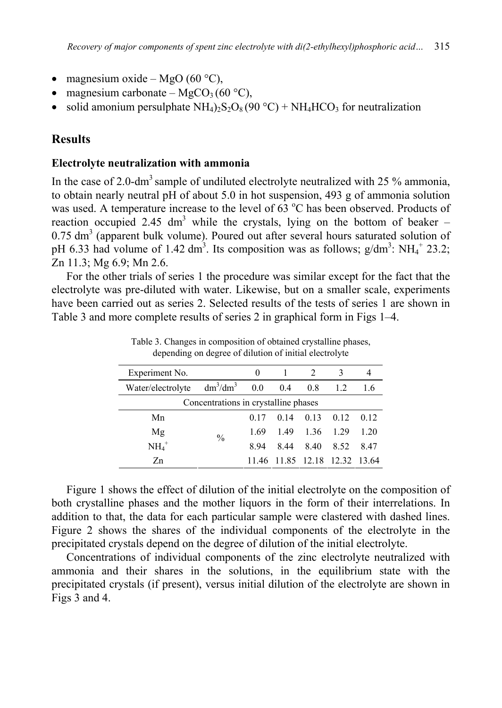- magnesium oxide MgO (60 °C),
- magnesium carbonate MgCO<sub>3</sub> (60 °C),
- solid amonium persulphate  $NH_4$ )<sub>2</sub>S<sub>2</sub>O<sub>8</sub> (90 °C) + NH<sub>4</sub>HCO<sub>3</sub> for neutralization

#### **Results**

#### **Electrolyte neutralization with ammonia**

In the case of 2.0-dm<sup>3</sup> sample of undiluted electrolyte neutralized with 25  $\%$  ammonia, to obtain nearly neutral pH of about 5.0 in hot suspension, 493 g of ammonia solution was used. A temperature increase to the level of  $63^{\circ}$ C has been observed. Products of reaction occupied 2.45 dm<sup>3</sup> while the crystals, lying on the bottom of beaker –  $0.75$  dm<sup>3</sup> (apparent bulk volume). Poured out after several hours saturated solution of pH 6.33 had volume of 1.42 dm<sup>3</sup>. Its composition was as follows;  $g/dm^3$ : NH<sub>4</sub><sup>+</sup> 23.2; Zn 11.3; Mg 6.9; Mn 2.6.

For the other trials of series 1 the procedure was similar except for the fact that the electrolyte was pre-diluted with water. Likewise, but on a smaller scale, experiments have been carried out as series 2. Selected results of the tests of series 1 are shown in Table 3 and more complete results of series 2 in graphical form in Figs 1–4.

| Experiment No.                       |               | 0    |     | $\mathfrak{D}_{\mathfrak{p}}$ | 3    |      |  |  |  |  |  |  |
|--------------------------------------|---------------|------|-----|-------------------------------|------|------|--|--|--|--|--|--|
| Water/electrolyte                    | $dm^3/dm^3$   | 0.0  | 0.4 | 0.8                           | 12.  | 1.6  |  |  |  |  |  |  |
| Concentrations in crystalline phases |               |      |     |                               |      |      |  |  |  |  |  |  |
| Mn                                   |               | 0.17 | 014 | 0.13                          | 012  | 012  |  |  |  |  |  |  |
| Mg                                   | $\frac{0}{0}$ | 1.69 | 149 | 1.36                          | 1.29 | 1 20 |  |  |  |  |  |  |
| $\mathrm{NH_4}^+$                    |               | 894  | 844 | 8.40                          | 8.52 | 847  |  |  |  |  |  |  |
| Zn                                   |               |      |     | 11.46 11.85 12.18 12.32 13.64 |      |      |  |  |  |  |  |  |

Table 3. Changes in composition of obtained crystalline phases, depending on degree of dilution of initial electrolyte

Figure 1 shows the effect of dilution of the initial electrolyte on the composition of both crystalline phases and the mother liquors in the form of their interrelations. In addition to that, the data for each particular sample were clastered with dashed lines. Figure 2 shows the shares of the individual components of the electrolyte in the precipitated crystals depend on the degree of dilution of the initial electrolyte.

Concentrations of individual components of the zinc electrolyte neutralized with ammonia and their shares in the solutions, in the equilibrium state with the precipitated crystals (if present), versus initial dilution of the electrolyte are shown in Figs 3 and 4.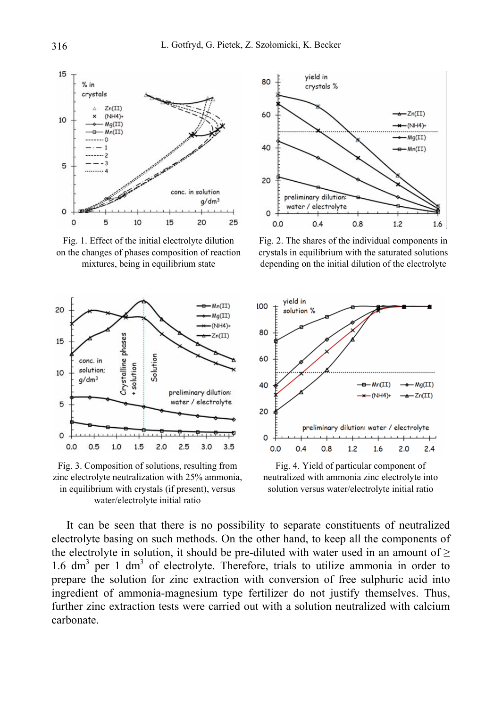

Fig. 1. Effect of the initial electrolyte dilution on the changes of phases composition of reaction mixtures, being in equilibrium state



Fig. 3. Composition of solutions, resulting from zinc electrolyte neutralization with 25% ammonia, in equilibrium with crystals (if present), versus water/electrolyte initial ratio



Fig. 2. The shares of the individual components in crystals in equilibrium with the saturated solutions depending on the initial dilution of the electrolyte



Fig. 4. Yield of particular component of neutralized with ammonia zinc electrolyte into solution versus water/electrolyte initial ratio

It can be seen that there is no possibility to separate constituents of neutralized electrolyte basing on such methods. On the other hand, to keep all the components of the electrolyte in solution, it should be pre-diluted with water used in an amount of  $\geq$ 1.6 dm<sup>3</sup> per 1 dm<sup>3</sup> of electrolyte. Therefore, trials to utilize ammonia in order to prepare the solution for zinc extraction with conversion of free sulphuric acid into ingredient of ammonia-magnesium type fertilizer do not justify themselves. Thus, further zinc extraction tests were carried out with a solution neutralized with calcium carbonate.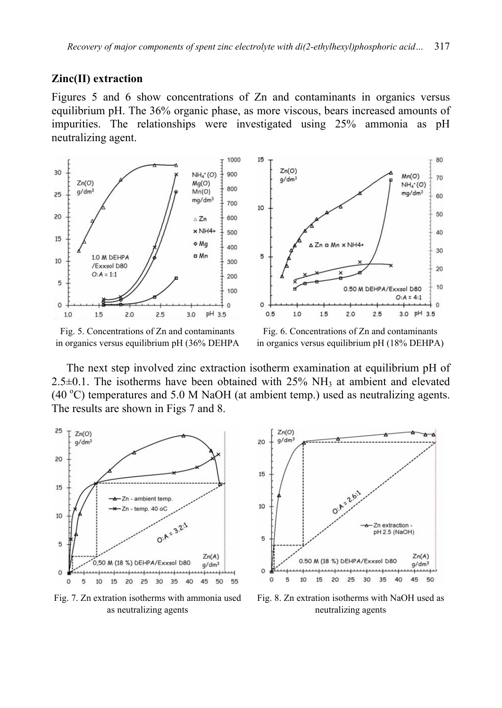#### **Zinc(II) extraction**

Figures 5 and 6 show concentrations of Zn and contaminants in organics versus equilibrium pH. The 36% organic phase, as more viscous, bears increased amounts of impurities. The relationships were investigated using 25% ammonia as pH neutralizing agent.



Fig. 5. Concentrations of Zn and contaminants in organics versus equilibrium pH (36% DEHPA

Fig. 6. Concentrations of Zn and contaminants in organics versus equilibrium pH (18% DEHPA)

The next step involved zinc extraction isotherm examination at equilibrium pH of  $2.5\pm0.1$ . The isotherms have been obtained with  $25\%$  NH<sub>3</sub> at ambient and elevated  $(40 °C)$  temperatures and 5.0 M NaOH (at ambient temp.) used as neutralizing agents. The results are shown in Figs 7 and 8.



Fig. 7. Zn extration isotherms with ammonia used as neutralizing agents



Fig. 8. Zn extration isotherms with NaOH used as neutralizing agents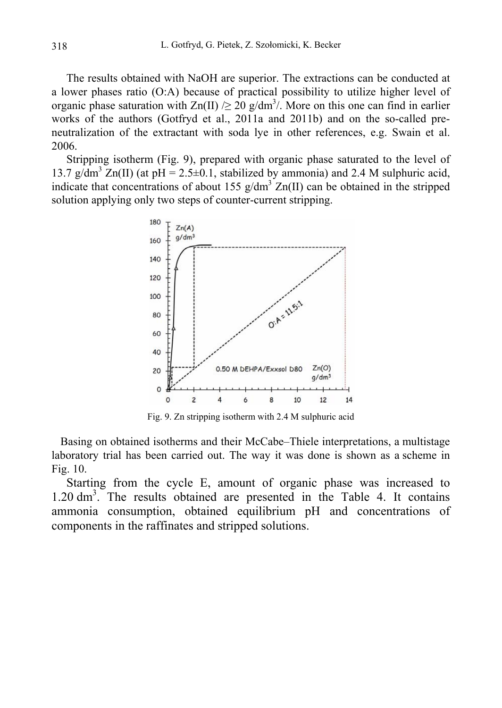The results obtained with NaOH are superior. The extractions can be conducted at a lower phases ratio (O:A) because of practical possibility to utilize higher level of organic phase saturation with  $\text{Zn(II)} \geq 20$  g/dm<sup>3</sup>/. More on this one can find in earlier works of the authors (Gotfryd et al., 2011a and 2011b) and on the so-called preneutralization of the extractant with soda lye in other references, e.g. Swain et al. 2006.

Stripping isotherm (Fig. 9), prepared with organic phase saturated to the level of 13.7 g/dm<sup>3</sup>  $Zn(II)$  (at pH = 2.5±0.1, stabilized by ammonia) and 2.4 M sulphuric acid, indicate that concentrations of about 155  $g/dm^3 Zn(II)$  can be obtained in the stripped solution applying only two steps of counter-current stripping.



Fig. 9. Zn stripping isotherm with 2.4 M sulphuric acid

Basing on obtained isotherms and their McCabe–Thiele interpretations, a multistage laboratory trial has been carried out. The way it was done is shown as a scheme in Fig. 10.

Starting from the cycle E, amount of organic phase was increased to 1.20 dm3 . The results obtained are presented in the Table 4. It contains ammonia consumption, obtained equilibrium pH and concentrations of components in the raffinates and stripped solutions.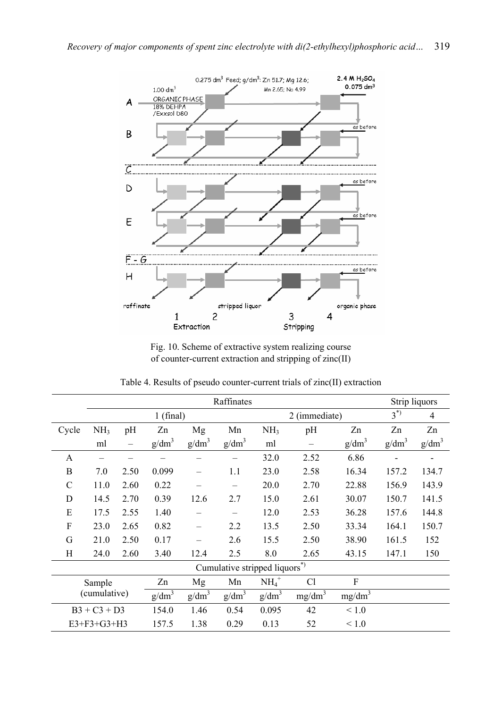

Fig. 10. Scheme of extractive system realizing course of counter-current extraction and stripping of zinc(II)

|                     |                 |       | Strip liquors |                   |                               |                   |                    |                    |          |                   |
|---------------------|-----------------|-------|---------------|-------------------|-------------------------------|-------------------|--------------------|--------------------|----------|-------------------|
|                     |                 |       | $1$ (final)   |                   |                               |                   | 2 (immediate)      | $3^{(*)}$          | 4        |                   |
| Cycle               | NH <sub>3</sub> | pH    | Zn            | Mg                | Mn                            | NH <sub>3</sub>   | pH                 | Zn                 | Zn       | Zn                |
|                     | ml              |       | $g/dm^3$      | g/dm <sup>3</sup> | $g/dm^3$                      | ml                |                    | g/dm <sup>3</sup>  | $g/dm^3$ | g/dm <sup>3</sup> |
| A                   |                 |       |               |                   |                               | 32.0              | 2.52               | 6.86               |          |                   |
| B                   | 7.0             | 2.50  | 0.099         |                   | 1.1                           | 23.0              | 2.58               | 16.34              | 157.2    | 134.7             |
| C                   | 11.0            | 2.60  | 0.22          |                   | -                             | 20.0              | 2.70               | 22.88              | 156.9    | 143.9             |
| D                   | 14.5            | 2.70  | 0.39          | 12.6              | 2.7                           | 15.0              | 2.61               | 30.07              | 150.7    | 141.5             |
| E                   | 17.5            | 2.55  | 1.40          |                   |                               | 12.0              | 2.53               | 36.28              | 157.6    | 144.8             |
| F                   | 23.0            | 2.65  | 0.82          |                   | 2.2                           | 13.5              | 2.50               | 33.34              | 164.1    | 150.7             |
| G                   | 21.0            | 2.50  | 0.17          |                   | 2.6                           | 15.5              | 2.50               | 38.90              | 161.5    | 152               |
| Η                   | 24.0            | 2.60  | 3.40          | 12.4              | 2.5                           | 8.0               | 2.65               | 43.15              | 147.1    | 150               |
|                     |                 |       |               |                   | Cumulative stripped liquors*) |                   |                    |                    |          |                   |
|                     | Sample          |       | Zn            | Mg                | Mn                            | $NH4+$            | C <sub>1</sub>     | F                  |          |                   |
|                     | (cumulative)    |       | $g/dm^3$      | g/dm <sup>3</sup> | g/dm <sup>3</sup>             | g/dm <sup>3</sup> | mg/dm <sup>3</sup> | mg/dm <sup>3</sup> |          |                   |
|                     | $B3 + C3 + D3$  |       | 154.0         | 1.46              | 0.54                          | 0.095             | 42                 | $\leq 1.0$         |          |                   |
| $E3 + F3 + G3 + H3$ |                 | 157.5 | 1.38          | 0.29              | 0.13                          | 52                | ${}_{\leq 1.0}$    |                    |          |                   |

Table 4. Results of pseudo counter-current trials of zinc(II) extraction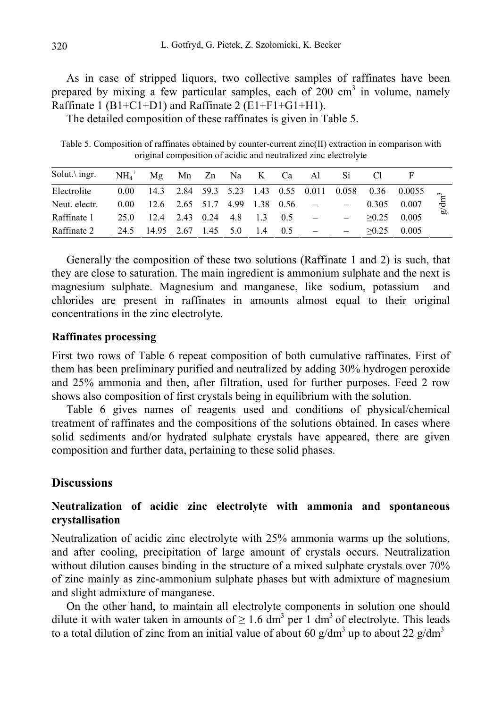As in case of stripped liquors, two collective samples of raffinates have been prepared by mixing a few particular samples, each of 200 cm<sup>3</sup> in volume, namely Raffinate 1 (B1+C1+D1) and Raffinate 2 (E1+F1+G1+H1).

The detailed composition of these raffinates is given in Table 5.

Table 5. Composition of raffinates obtained by counter-current zinc(II) extraction in comparison with original composition of acidic and neutralized zinc electrolyte

| Solut. $\ing{ingr}$ .                         | $NH_4^+$ Mg Mn Zn Na K Ca Al Si          |  |  |  |  |               |                                                            |    |
|-----------------------------------------------|------------------------------------------|--|--|--|--|---------------|------------------------------------------------------------|----|
| Electrolite                                   |                                          |  |  |  |  |               | 0.00 14.3 2.84 59.3 5.23 1.43 0.55 0.011 0.058 0.36 0.0055 |    |
| Neut. electr.                                 | $0.00$ 12.6 2.65 51.7 4.99 1.38 0.56 - - |  |  |  |  |               | $0.305$ $0.007$ $\frac{15}{5}$                             |    |
| Raffinate 1 25.0 12.4 2.43 0.24 4.8 1.3 0.5 – |                                          |  |  |  |  | $>0.25$ 0.005 |                                                            | σD |
| Raffinate 2 24.5 14.95 2.67 1.45 5.0 1.4 0.5  |                                          |  |  |  |  |               | $>0.25$ 0.005                                              |    |

Generally the composition of these two solutions (Raffinate 1 and 2) is such, that they are close to saturation. The main ingredient is ammonium sulphate and the next is magnesium sulphate. Magnesium and manganese, like sodium, potassium and chlorides are present in raffinates in amounts almost equal to their original concentrations in the zinc electrolyte.

#### **Raffinates processing**

First two rows of Table 6 repeat composition of both cumulative raffinates. First of them has been preliminary purified and neutralized by adding 30% hydrogen peroxide and 25% ammonia and then, after filtration, used for further purposes. Feed 2 row shows also composition of first crystals being in equilibrium with the solution.

Table 6 gives names of reagents used and conditions of physical/chemical treatment of raffinates and the compositions of the solutions obtained. In cases where solid sediments and/or hydrated sulphate crystals have appeared, there are given composition and further data, pertaining to these solid phases.

### **Discussions**

# **Neutralization of acidic zinc electrolyte with ammonia and spontaneous crystallisation**

Neutralization of acidic zinc electrolyte with 25% ammonia warms up the solutions, and after cooling, precipitation of large amount of crystals occurs. Neutralization without dilution causes binding in the structure of a mixed sulphate crystals over 70% of zinc mainly as zinc-ammonium sulphate phases but with admixture of magnesium and slight admixture of manganese.

On the other hand, to maintain all electrolyte components in solution one should dilute it with water taken in amounts of  $\geq 1.6$  dm<sup>3</sup> per 1 dm<sup>3</sup> of electrolyte. This leads to a total dilution of zinc from an initial value of about 60 g/dm<sup>3</sup> up to about 22 g/dm<sup>3</sup>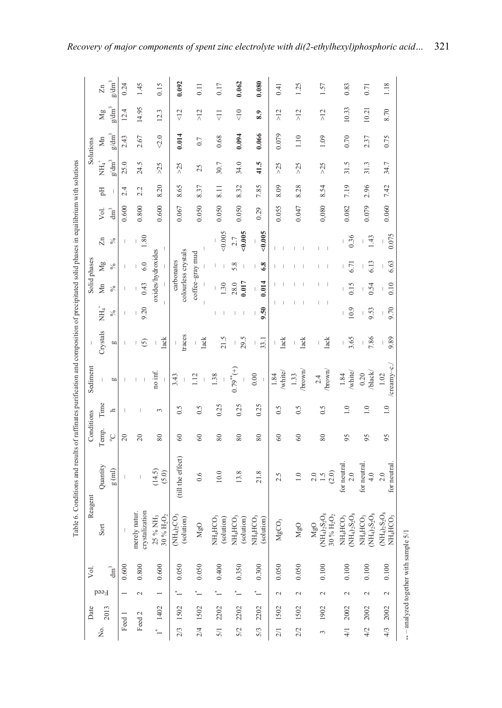|                                                                                                                                       |              | Zn                         | $g/dm^3$                 | 0.24           | 1.45                            | 0.15                                           | 0.092                             | $\overline{0}$ . | 0.17                               | 0.062                                          | 0.080                                    | 0.41                                          | 1.25                   | 1.57                                                                | 0.83                                                | 0.71                                                                                                                                                                                                                                                                                                                                                                                     | 1.18                                                                                                                                                                                                                                                                                                                                                                                     |
|---------------------------------------------------------------------------------------------------------------------------------------|--------------|----------------------------|--------------------------|----------------|---------------------------------|------------------------------------------------|-----------------------------------|------------------|------------------------------------|------------------------------------------------|------------------------------------------|-----------------------------------------------|------------------------|---------------------------------------------------------------------|-----------------------------------------------------|------------------------------------------------------------------------------------------------------------------------------------------------------------------------------------------------------------------------------------------------------------------------------------------------------------------------------------------------------------------------------------------|------------------------------------------------------------------------------------------------------------------------------------------------------------------------------------------------------------------------------------------------------------------------------------------------------------------------------------------------------------------------------------------|
|                                                                                                                                       |              | Μg                         | $g/dm^3$                 | 12.4           | 14.95                           | 12.3                                           | $\frac{2}{\sqrt{2}}$              | $\geq$           | $\overline{\overline{C}}$          | $\frac{1}{\sqrt{2}}$                           | 8.9                                      | $\frac{2}{\lambda}$                           | $\frac{2}{\sqrt{2}}$   | $\frac{2}{\lambda}$                                                 | 10.33                                               | 10.21                                                                                                                                                                                                                                                                                                                                                                                    | 8.70                                                                                                                                                                                                                                                                                                                                                                                     |
|                                                                                                                                       | Solutions    | $\mathsf{Mn}$              | $\rm g/dm^3$             | 2.43           | 2.67                            | 2.0                                            | 0.014                             | 0.7              | 0.68                               | 0.094                                          | 0.066                                    | 0.079                                         | 1.10                   | 1.09                                                                | 0.70                                                | 2.37                                                                                                                                                                                                                                                                                                                                                                                     | 0.75                                                                                                                                                                                                                                                                                                                                                                                     |
|                                                                                                                                       |              | $\overline{\text{MH}_4}^+$ | $\rm g/dm^3$             | 25.0           | 24.5                            | 55<                                            | $>25$                             | 25               | 30.7                               | 34.0                                           | 41.5                                     | $>25$                                         | $>25$                  | $>25$                                                               | 31.5                                                | 31.3                                                                                                                                                                                                                                                                                                                                                                                     | 34.7                                                                                                                                                                                                                                                                                                                                                                                     |
|                                                                                                                                       |              | Flq                        |                          | 2.4            | 2.2                             | 8.20                                           | 8.65                              | 8.37             | 8.11                               | 8.32                                           | 7.85                                     | 8.09                                          | 8.28                   | 8.54                                                                | 7.19                                                | 2.96                                                                                                                                                                                                                                                                                                                                                                                     | 7.42                                                                                                                                                                                                                                                                                                                                                                                     |
|                                                                                                                                       |              | Уol.                       | $\dim^3$                 | 0.600          | 0.800                           | 0.600                                          | 0.067                             | 0.050            | 0.050                              | 0.050                                          | 0.29                                     | 0.055                                         | 0.047                  | 0,080                                                               | 0.082                                               | 0.079                                                                                                                                                                                                                                                                                                                                                                                    | 0.060                                                                                                                                                                                                                                                                                                                                                                                    |
|                                                                                                                                       |              | $\overline{z}$             | ಸಿ                       | $\overline{1}$ | 1.80<br>$\mathbf{I}$            | $\vert$                                        |                                   |                  | 0.005                              | 0.005<br>2.7                                   | &0.005<br>$\begin{array}{c} \end{array}$ |                                               |                        |                                                                     | 0.36                                                | 1.43<br>$\begin{array}{c} \rule{0pt}{2.5ex} \rule{0pt}{2.5ex} \rule{0pt}{2.5ex} \rule{0pt}{2.5ex} \rule{0pt}{2.5ex} \rule{0pt}{2.5ex} \rule{0pt}{2.5ex} \rule{0pt}{2.5ex} \rule{0pt}{2.5ex} \rule{0pt}{2.5ex} \rule{0pt}{2.5ex} \rule{0pt}{2.5ex} \rule{0pt}{2.5ex} \rule{0pt}{2.5ex} \rule{0pt}{2.5ex} \rule{0pt}{2.5ex} \rule{0pt}{2.5ex} \rule{0pt}{2.5ex} \rule{0pt}{2.5ex} \rule{0$ | 0.075                                                                                                                                                                                                                                                                                                                                                                                    |
|                                                                                                                                       |              | Μg                         | $\%$                     |                | 6.0                             |                                                |                                   |                  |                                    | 5.8                                            | 6.8                                      |                                               |                        |                                                                     | 6.71                                                | 6.13<br>$\begin{array}{c} \rule{0pt}{2.5ex} \rule{0pt}{2.5ex} \rule{0pt}{2.5ex} \rule{0pt}{2.5ex} \rule{0pt}{2.5ex} \rule{0pt}{2.5ex} \rule{0pt}{2.5ex} \rule{0pt}{2.5ex} \rule{0pt}{2.5ex} \rule{0pt}{2.5ex} \rule{0pt}{2.5ex} \rule{0pt}{2.5ex} \rule{0pt}{2.5ex} \rule{0pt}{2.5ex} \rule{0pt}{2.5ex} \rule{0pt}{2.5ex} \rule{0pt}{2.5ex} \rule{0pt}{2.5ex} \rule{0pt}{2.5ex} \rule{0$ | 6.63<br>$\begin{array}{c} \rule{0pt}{2.5ex} \rule{0pt}{2.5ex} \rule{0pt}{2.5ex} \rule{0pt}{2.5ex} \rule{0pt}{2.5ex} \rule{0pt}{2.5ex} \rule{0pt}{2.5ex} \rule{0pt}{2.5ex} \rule{0pt}{2.5ex} \rule{0pt}{2.5ex} \rule{0pt}{2.5ex} \rule{0pt}{2.5ex} \rule{0pt}{2.5ex} \rule{0pt}{2.5ex} \rule{0pt}{2.5ex} \rule{0pt}{2.5ex} \rule{0pt}{2.5ex} \rule{0pt}{2.5ex} \rule{0pt}{2.5ex} \rule{0$ |
|                                                                                                                                       | Solid phases | Мn                         | ℅                        |                | 0.43                            | oxides/hydroxides<br>$\mathbb{I}$              | colourless crystals<br>carbonates | coffee-gray mud  | $\ddot{.}30$                       | 0.017<br>28.0                                  | 0.014                                    |                                               |                        |                                                                     | 0.15                                                | 0.54                                                                                                                                                                                                                                                                                                                                                                                     | 0.10                                                                                                                                                                                                                                                                                                                                                                                     |
|                                                                                                                                       |              | NH,                        | ℅                        |                | 9.20                            | $\overline{\phantom{a}}$                       |                                   | I                |                                    |                                                | 9.50                                     |                                               |                        |                                                                     | 10.9                                                | 9.53<br>$\overline{\phantom{a}}$                                                                                                                                                                                                                                                                                                                                                         | 9.70                                                                                                                                                                                                                                                                                                                                                                                     |
|                                                                                                                                       |              | Crystals                   | <b>b</b>                 |                | ⊙                               | lack                                           | traces                            | lack<br>$\vert$  | 21.5                               | 29.5<br>I                                      | 33.1<br>I                                | lack<br>$\begin{array}{c} \hline \end{array}$ | lack<br>$\overline{1}$ | lack<br>$\overline{1}$                                              | 3.65<br>L                                           | 7.86<br>$\begin{array}{c} \end{array}$                                                                                                                                                                                                                                                                                                                                                   | 9.89                                                                                                                                                                                                                                                                                                                                                                                     |
|                                                                                                                                       | Sediment     |                            | 6O                       |                |                                 | no inf.                                        | 3.43<br>$\vert$                   | 1.12             | 1.38                               | $(+)_{**}(+)$                                  | 0.00<br>T                                | /white/<br>1.84                               | brown<br>1.33          | /brown<br>2.4                                                       | /white/<br>1.84                                     | /black<br>0.20                                                                                                                                                                                                                                                                                                                                                                           | creamy-c.<br>$1.02\,$                                                                                                                                                                                                                                                                                                                                                                    |
|                                                                                                                                       |              | Time                       | ᅩ                        |                |                                 | $\sim$                                         | 0.5                               | 0.5              | 0.25                               | 0.25                                           | 0.25                                     | 0.5                                           | 0.5                    | $\frac{5}{2}$                                                       | $\frac{0}{1}$                                       | 1.0                                                                                                                                                                                                                                                                                                                                                                                      | $\frac{0}{1}$                                                                                                                                                                                                                                                                                                                                                                            |
|                                                                                                                                       | Conditions   | Temp.                      |                          |                |                                 |                                                |                                   |                  |                                    |                                                |                                          |                                               |                        |                                                                     |                                                     |                                                                                                                                                                                                                                                                                                                                                                                          |                                                                                                                                                                                                                                                                                                                                                                                          |
|                                                                                                                                       |              |                            | $\mathcal{S}$            | $\Omega$       | $\Omega$                        | 80                                             | 8                                 | $\odot$          | 80                                 | 80                                             | $80\,$                                   | 8                                             | $\infty$               | 80                                                                  | 95                                                  | 95                                                                                                                                                                                                                                                                                                                                                                                       | 95                                                                                                                                                                                                                                                                                                                                                                                       |
|                                                                                                                                       |              | Quantity                   | $g~(\mathrm{ml})$        |                |                                 | (14.5)<br>(5.0)                                | (till the effect)                 | 0.6              | 10.0                               | 13.8                                           | 21.8                                     | 2.5                                           | 1.0                    | $(2.0)$<br>2.0<br>$\frac{5}{1}$                                     | for neutral<br>2.0                                  | for neutral<br>4.0                                                                                                                                                                                                                                                                                                                                                                       | for neutral<br>2.0                                                                                                                                                                                                                                                                                                                                                                       |
| Table 6. Conditions and results of raffinates purification and composition of precipitated solid phases in equilibrium with solutions | Reagent      | Sort                       |                          |                | merely natur.<br>crystalization | $25~\%~\mathrm{NH_3} \\ 30~\%~\mathrm{H_2O_2}$ | $(NH_4)_2CO_3$<br>(solution)      | MgO              | NH <sub>4</sub> HCO3<br>(solution) | NH <sub>4</sub> HCO <sub>3</sub><br>(solution) | NH <sub>4</sub> HCO3<br>(solution)       | MgCO <sub>3</sub>                             | MgO                    | ${\rm (NH_4)_2S_2O_8}$<br>$30~\%$ $\mathrm{H}_2\mathrm{O}_2$<br>MgO | $NH_4)_2S_2O_8$<br>NH <sub>4</sub> HCO <sub>3</sub> | $NH_4)_2S_2O_8$<br>NH <sub>4</sub> HCO <sub>3</sub>                                                                                                                                                                                                                                                                                                                                      | $NH_4)_2S_2O_8$<br>NH <sub>4</sub> HCO <sub>3</sub>                                                                                                                                                                                                                                                                                                                                      |
|                                                                                                                                       | Vol.         |                            | $\mathrm{d}\mathrm{m}^3$ | 0.600          | 0.800                           | 0.600                                          | 0.050                             | 0.050            | 0.400                              | 0.350                                          | 0.300                                    | 0.050                                         | 0.050                  | $0.100$                                                             | 0.100                                               | 0.100                                                                                                                                                                                                                                                                                                                                                                                    | 0.100                                                                                                                                                                                                                                                                                                                                                                                    |
|                                                                                                                                       |              | Feed                       |                          |                | $\overline{\mathcal{L}}$        |                                                |                                   |                  | $\ddot{\phantom{0}}$               |                                                |                                          | $\sim$                                        | $\sim$                 | $\overline{\mathcal{L}}$                                            | 2                                                   | $\sim$                                                                                                                                                                                                                                                                                                                                                                                   | $\sim$                                                                                                                                                                                                                                                                                                                                                                                   |
|                                                                                                                                       | Date         | 2013<br>ρó.                |                          | Feed 1         | Feed 2                          | 1402                                           | 1502<br>2/3                       | 1502<br>2/4      | 2202<br>5/1                        | 2202<br>5/2                                    | 2202<br>5/3                              | 1502<br>2/1                                   | 1502<br>2/2            | 1902<br>$\epsilon$                                                  | 2002<br>4/1                                         | 2002<br>4/2                                                                                                                                                                                                                                                                                                                                                                              | 2002<br>4/3                                                                                                                                                                                                                                                                                                                                                                              |

\*\* – analyzed together with sample 5/1

... - analyzed together with sample 5/1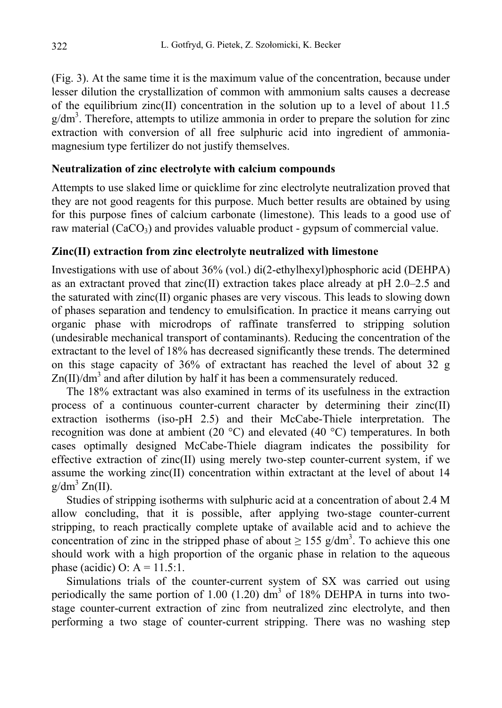(Fig. 3). At the same time it is the maximum value of the concentration, because under lesser dilution the crystallization of common with ammonium salts causes a decrease of the equilibrium zinc(II) concentration in the solution up to a level of about 11.5 g/dm<sup>3</sup>. Therefore, attempts to utilize ammonia in order to prepare the solution for zinc extraction with conversion of all free sulphuric acid into ingredient of ammoniamagnesium type fertilizer do not justify themselves.

### **Neutralization of zinc electrolyte with calcium compounds**

Attempts to use slaked lime or quicklime for zinc electrolyte neutralization proved that they are not good reagents for this purpose. Much better results are obtained by using for this purpose fines of calcium carbonate (limestone). This leads to a good use of raw material  $(CaCO<sub>3</sub>)$  and provides valuable product - gypsum of commercial value.

# **Zinc(II) extraction from zinc electrolyte neutralized with limestone**

Investigations with use of about 36% (vol.) di(2-ethylhexyl)phosphoric acid (DEHPA) as an extractant proved that zinc(II) extraction takes place already at pH 2.0–2.5 and the saturated with zinc(II) organic phases are very viscous. This leads to slowing down of phases separation and tendency to emulsification. In practice it means carrying out organic phase with microdrops of raffinate transferred to stripping solution (undesirable mechanical transport of contaminants). Reducing the concentration of the extractant to the level of 18% has decreased significantly these trends. The determined on this stage capacity of 36% of extractant has reached the level of about 32 g  $\text{Zn(II)/dm}^3$  and after dilution by half it has been a commensurately reduced.

The 18% extractant was also examined in terms of its usefulness in the extraction process of a continuous counter-current character by determining their zinc(II) extraction isotherms (iso-pH 2.5) and their McCabe-Thiele interpretation. The recognition was done at ambient (20  $^{\circ}$ C) and elevated (40  $^{\circ}$ C) temperatures. In both cases optimally designed McCabe-Thiele diagram indicates the possibility for effective extraction of zinc $(II)$  using merely two-step counter-current system, if we assume the working  $zinc(II)$  concentration within extractant at the level of about 14  $g/dm^3 Zn(II)$ .

Studies of stripping isotherms with sulphuric acid at a concentration of about 2.4 M allow concluding, that it is possible, after applying two-stage counter-current stripping, to reach practically complete uptake of available acid and to achieve the concentration of zinc in the stripped phase of about  $\geq 155$  g/dm<sup>3</sup>. To achieve this one should work with a high proportion of the organic phase in relation to the aqueous phase (acidic) O:  $A = 11.5:1$ .

Simulations trials of the counter-current system of SX was carried out using periodically the same portion of 1.00 (1.20)  $dm<sup>3</sup>$  of 18% DEHPA in turns into twostage counter-current extraction of zinc from neutralized zinc electrolyte, and then performing a two stage of counter-current stripping. There was no washing step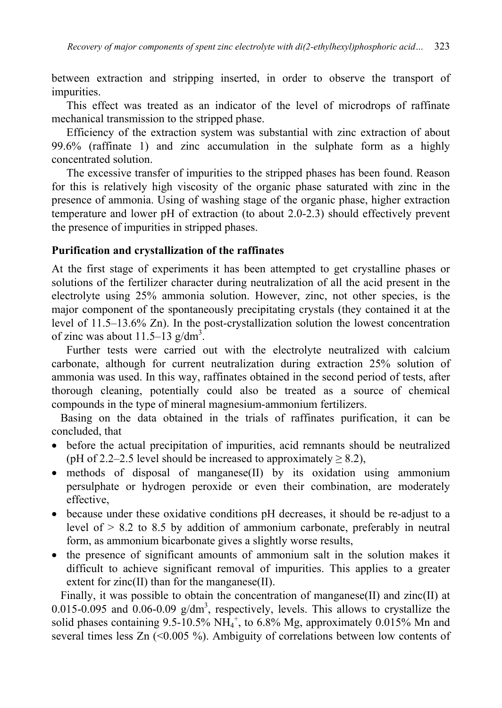between extraction and stripping inserted, in order to observe the transport of impurities.

This effect was treated as an indicator of the level of microdrops of raffinate mechanical transmission to the stripped phase.

Efficiency of the extraction system was substantial with zinc extraction of about 99.6% (raffinate 1) and zinc accumulation in the sulphate form as a highly concentrated solution.

The excessive transfer of impurities to the stripped phases has been found. Reason for this is relatively high viscosity of the organic phase saturated with zinc in the presence of ammonia. Using of washing stage of the organic phase, higher extraction temperature and lower pH of extraction (to about 2.0-2.3) should effectively prevent the presence of impurities in stripped phases.

### **Purification and crystallization of the raffinates**

At the first stage of experiments it has been attempted to get crystalline phases or solutions of the fertilizer character during neutralization of all the acid present in the electrolyte using 25% ammonia solution. However, zinc, not other species, is the major component of the spontaneously precipitating crystals (they contained it at the level of 11.5–13.6% Zn). In the post-crystallization solution the lowest concentration of zinc was about  $11.5-13$  g/dm<sup>3</sup>.

Further tests were carried out with the electrolyte neutralized with calcium carbonate, although for current neutralization during extraction 25% solution of ammonia was used. In this way, raffinates obtained in the second period of tests, after thorough cleaning, potentially could also be treated as a source of chemical compounds in the type of mineral magnesium-ammonium fertilizers.

Basing on the data obtained in the trials of raffinates purification, it can be concluded, that

- before the actual precipitation of impurities, acid remnants should be neutralized (pH of 2.2–2.5 level should be increased to approximately  $\geq$  8.2),
- methods of disposal of manganese(II) by its oxidation using ammonium persulphate or hydrogen peroxide or even their combination, are moderately effective,
- because under these oxidative conditions pH decreases, it should be re-adjust to a level of  $> 8.2$  to 8.5 by addition of ammonium carbonate, preferably in neutral form, as ammonium bicarbonate gives a slightly worse results,
- the presence of significant amounts of ammonium salt in the solution makes it difficult to achieve significant removal of impurities. This applies to a greater extent for zinc(II) than for the manganese(II).

Finally, it was possible to obtain the concentration of manganese(II) and zinc(II) at 0.015-0.095 and 0.06-0.09  $g/dm^3$ , respectively, levels. This allows to crystallize the solid phases containing  $9.5{\text -}10.5\% \text{ NH}_4^+$ , to  $6.8\% \text{ Mg}$ , approximately  $0.015\% \text{ Mn}$  and several times less  $Zn$  (<0.005 %). Ambiguity of correlations between low contents of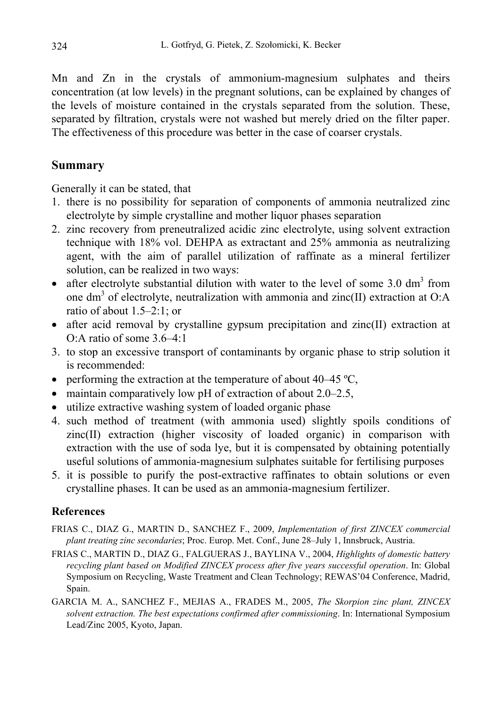Mn and Zn in the crystals of ammonium-magnesium sulphates and theirs concentration (at low levels) in the pregnant solutions, can be explained by changes of the levels of moisture contained in the crystals separated from the solution. These, separated by filtration, crystals were not washed but merely dried on the filter paper. The effectiveness of this procedure was better in the case of coarser crystals.

# **Summary**

Generally it can be stated, that

- 1. there is no possibility for separation of components of ammonia neutralized zinc electrolyte by simple crystalline and mother liquor phases separation
- 2. zinc recovery from preneutralized acidic zinc electrolyte, using solvent extraction technique with 18% vol. DEHPA as extractant and 25% ammonia as neutralizing agent, with the aim of parallel utilization of raffinate as a mineral fertilizer solution, can be realized in two ways:
- after electrolyte substantial dilution with water to the level of some  $3.0 \text{ dm}^3$  from one dm<sup>3</sup> of electrolyte, neutralization with ammonia and zinc(II) extraction at O:A ratio of about 1.5–2:1; or
- after acid removal by crystalline gypsum precipitation and zinc(II) extraction at O:A ratio of some 3.6–4:1
- 3. to stop an excessive transport of contaminants by organic phase to strip solution it is recommended:
- performing the extraction at the temperature of about 40–45  $^{\circ}C$ ,
- maintain comparatively low pH of extraction of about 2.0–2.5,
- utilize extractive washing system of loaded organic phase
- 4. such method of treatment (with ammonia used) slightly spoils conditions of zinc(II) extraction (higher viscosity of loaded organic) in comparison with extraction with the use of soda lye, but it is compensated by obtaining potentially useful solutions of ammonia-magnesium sulphates suitable for fertilising purposes
- 5. it is possible to purify the post-extractive raffinates to obtain solutions or even crystalline phases. It can be used as an ammonia-magnesium fertilizer.

# **References**

- FRIAS C., DIAZ G., MARTIN D., SANCHEZ F., 2009, *Implementation of first ZINCEX commercial plant treating zinc secondaries*; Proc. Europ. Met. Conf., June 28–July 1, Innsbruck, Austria.
- FRIAS C., MARTIN D., DIAZ G., FALGUERAS J., BAYLINA V., 2004, *Highlights of domestic battery recycling plant based on Modified ZINCEX process after five years successful operation*. In: Global Symposium on Recycling, Waste Treatment and Clean Technology; REWAS'04 Conference, Madrid, Spain.
- GARCIA M. A., SANCHEZ F., MEJIAS A., FRADES M., 2005, *The Skorpion zinc plant, ZINCEX solvent extraction. The best expectations confirmed after commissioning*. In: International Symposium Lead/Zinc 2005, Kyoto, Japan.